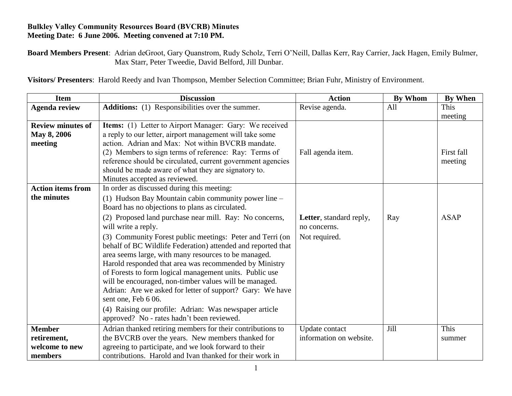## **Bulkley Valley Community Resources Board (BVCRB) Minutes Meeting Date: 6 June 2006. Meeting convened at 7:10 PM.**

**Board Members Present**: Adrian deGroot, Gary Quanstrom, Rudy Scholz, Terri O'Neill, Dallas Kerr, Ray Carrier, Jack Hagen, Emily Bulmer, Max Starr, Peter Tweedie, David Belford, Jill Dunbar.

**Visitors/ Presenters**: Harold Reedy and Ivan Thompson, Member Selection Committee; Brian Fuhr, Ministry of Environment.

| <b>Item</b>              | <b>Discussion</b>                                            | <b>Action</b>           | <b>By Whom</b> | <b>By When</b> |
|--------------------------|--------------------------------------------------------------|-------------------------|----------------|----------------|
| <b>Agenda review</b>     | <b>Additions:</b> (1) Responsibilities over the summer.      | Revise agenda.          | All            | This           |
|                          |                                                              |                         |                | meeting        |
| <b>Review minutes of</b> | Items: (1) Letter to Airport Manager: Gary: We received      |                         |                |                |
| May 8, 2006              | a reply to our letter, airport management will take some     |                         |                |                |
| meeting                  | action. Adrian and Max: Not within BVCRB mandate.            |                         |                |                |
|                          | (2) Members to sign terms of reference: Ray: Terms of        | Fall agenda item.       |                | First fall     |
|                          | reference should be circulated, current government agencies  |                         |                | meeting        |
|                          | should be made aware of what they are signatory to.          |                         |                |                |
|                          | Minutes accepted as reviewed.                                |                         |                |                |
| <b>Action items from</b> | In order as discussed during this meeting:                   |                         |                |                |
| the minutes              | (1) Hudson Bay Mountain cabin community power line -         |                         |                |                |
|                          | Board has no objections to plans as circulated.              |                         |                |                |
|                          | (2) Proposed land purchase near mill. Ray: No concerns,      | Letter, standard reply, | Ray            | <b>ASAP</b>    |
|                          | will write a reply.                                          | no concerns.            |                |                |
|                          | (3) Community Forest public meetings: Peter and Terri (on    | Not required.           |                |                |
|                          | behalf of BC Wildlife Federation) attended and reported that |                         |                |                |
|                          | area seems large, with many resources to be managed.         |                         |                |                |
|                          | Harold responded that area was recommended by Ministry       |                         |                |                |
|                          | of Forests to form logical management units. Public use      |                         |                |                |
|                          | will be encouraged, non-timber values will be managed.       |                         |                |                |
|                          | Adrian: Are we asked for letter of support? Gary: We have    |                         |                |                |
|                          | sent one, Feb 6 06.                                          |                         |                |                |
|                          | (4) Raising our profile: Adrian: Was newspaper article       |                         |                |                |
|                          | approved? No - rates hadn't been reviewed.                   |                         |                |                |
| <b>Member</b>            | Adrian thanked retiring members for their contributions to   | Update contact          | Jill           | This           |
| retirement,              | the BVCRB over the years. New members thanked for            | information on website. |                | summer         |
| welcome to new           | agreeing to participate, and we look forward to their        |                         |                |                |
| members                  | contributions. Harold and Ivan thanked for their work in     |                         |                |                |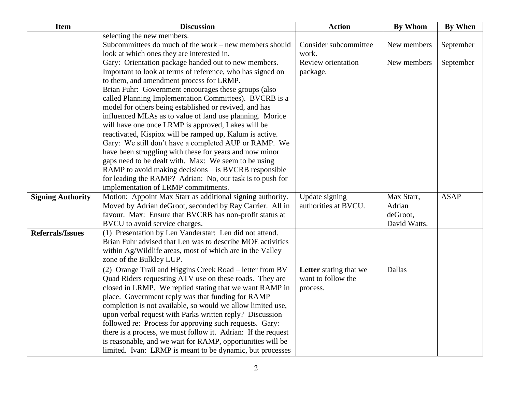| <b>Item</b>              | <b>Discussion</b>                                             | <b>Action</b>          | <b>By Whom</b> | <b>By When</b> |
|--------------------------|---------------------------------------------------------------|------------------------|----------------|----------------|
|                          | selecting the new members.                                    |                        |                |                |
|                          | Subcommittees do much of the work – new members should        | Consider subcommittee  | New members    | September      |
|                          | look at which ones they are interested in.                    | work.                  |                |                |
|                          | Gary: Orientation package handed out to new members.          | Review orientation     | New members    | September      |
|                          | Important to look at terms of reference, who has signed on    | package.               |                |                |
|                          | to them, and amendment process for LRMP.                      |                        |                |                |
|                          | Brian Fuhr: Government encourages these groups (also          |                        |                |                |
|                          | called Planning Implementation Committees). BVCRB is a        |                        |                |                |
|                          | model for others being established or revived, and has        |                        |                |                |
|                          | influenced MLAs as to value of land use planning. Morice      |                        |                |                |
|                          | will have one once LRMP is approved, Lakes will be            |                        |                |                |
|                          | reactivated, Kispiox will be ramped up, Kalum is active.      |                        |                |                |
|                          | Gary: We still don't have a completed AUP or RAMP. We         |                        |                |                |
|                          | have been struggling with these for years and now minor       |                        |                |                |
|                          | gaps need to be dealt with. Max: We seem to be using          |                        |                |                |
|                          | RAMP to avoid making decisions – is BVCRB responsible         |                        |                |                |
|                          | for leading the RAMP? Adrian: No, our task is to push for     |                        |                |                |
|                          | implementation of LRMP commitments.                           |                        |                |                |
| <b>Signing Authority</b> | Motion: Appoint Max Starr as additional signing authority.    | Update signing         | Max Starr,     | <b>ASAP</b>    |
|                          | Moved by Adrian deGroot, seconded by Ray Carrier. All in      | authorities at BVCU.   | Adrian         |                |
|                          | favour. Max: Ensure that BVCRB has non-profit status at       |                        | deGroot,       |                |
|                          | BVCU to avoid service charges.                                |                        | David Watts.   |                |
| <b>Referrals/Issues</b>  | (1) Presentation by Len Vanderstar: Len did not attend.       |                        |                |                |
|                          | Brian Fuhr advised that Len was to describe MOE activities    |                        |                |                |
|                          | within Ag/Wildlife areas, most of which are in the Valley     |                        |                |                |
|                          | zone of the Bulkley LUP.                                      |                        |                |                |
|                          | (2) Orange Trail and Higgins Creek Road - letter from BV      | Letter stating that we | Dallas         |                |
|                          | Quad Riders requesting ATV use on these roads. They are       | want to follow the     |                |                |
|                          | closed in LRMP. We replied stating that we want RAMP in       | process.               |                |                |
|                          | place. Government reply was that funding for RAMP             |                        |                |                |
|                          | completion is not available, so would we allow limited use,   |                        |                |                |
|                          | upon verbal request with Parks written reply? Discussion      |                        |                |                |
|                          | followed re: Process for approving such requests. Gary:       |                        |                |                |
|                          | there is a process, we must follow it. Adrian: If the request |                        |                |                |
|                          | is reasonable, and we wait for RAMP, opportunities will be    |                        |                |                |
|                          | limited. Ivan: LRMP is meant to be dynamic, but processes     |                        |                |                |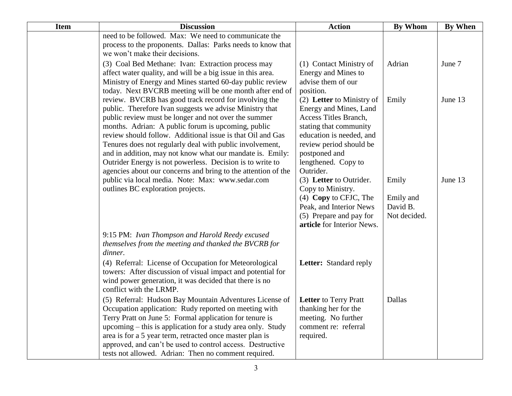| <b>Item</b> | <b>Discussion</b>                                                                                                                                                                                                                                                                                                                                                                                                                                                                                                                                   | <b>Action</b>                                                                                                                                                                                                      | <b>By Whom</b>                                 | <b>By When</b> |
|-------------|-----------------------------------------------------------------------------------------------------------------------------------------------------------------------------------------------------------------------------------------------------------------------------------------------------------------------------------------------------------------------------------------------------------------------------------------------------------------------------------------------------------------------------------------------------|--------------------------------------------------------------------------------------------------------------------------------------------------------------------------------------------------------------------|------------------------------------------------|----------------|
|             | need to be followed. Max: We need to communicate the<br>process to the proponents. Dallas: Parks needs to know that<br>we won't make their decisions.                                                                                                                                                                                                                                                                                                                                                                                               |                                                                                                                                                                                                                    |                                                |                |
|             | (3) Coal Bed Methane: Ivan: Extraction process may<br>affect water quality, and will be a big issue in this area.<br>Ministry of Energy and Mines started 60-day public review<br>today. Next BVCRB meeting will be one month after end of                                                                                                                                                                                                                                                                                                          | (1) Contact Ministry of<br>Energy and Mines to<br>advise them of our<br>position.                                                                                                                                  | Adrian                                         | June 7         |
|             | review. BVCRB has good track record for involving the<br>public. Therefore Ivan suggests we advise Ministry that<br>public review must be longer and not over the summer<br>months. Adrian: A public forum is upcoming, public<br>review should follow. Additional issue is that Oil and Gas<br>Tenures does not regularly deal with public involvement,<br>and in addition, may not know what our mandate is. Emily:<br>Outrider Energy is not powerless. Decision is to write to<br>agencies about our concerns and bring to the attention of the | (2) Letter to Ministry of<br>Energy and Mines, Land<br>Access Titles Branch,<br>stating that community<br>education is needed, and<br>review period should be<br>postponed and<br>lengthened. Copy to<br>Outrider. | Emily                                          | June 13        |
|             | public via local media. Note: Max: www.sedar.com<br>outlines BC exploration projects.                                                                                                                                                                                                                                                                                                                                                                                                                                                               | (3) Letter to Outrider.<br>Copy to Ministry.<br>$(4)$ Copy to CFJC, The<br>Peak, and Interior News<br>(5) Prepare and pay for<br>article for Interior News.                                                        | Emily<br>Emily and<br>David B.<br>Not decided. | June 13        |
|             | 9:15 PM: Ivan Thompson and Harold Reedy excused<br>themselves from the meeting and thanked the BVCRB for<br>dinner.                                                                                                                                                                                                                                                                                                                                                                                                                                 |                                                                                                                                                                                                                    |                                                |                |
|             | (4) Referral: License of Occupation for Meteorological<br>towers: After discussion of visual impact and potential for<br>wind power generation, it was decided that there is no<br>conflict with the LRMP.                                                                                                                                                                                                                                                                                                                                          | Letter: Standard reply                                                                                                                                                                                             |                                                |                |
|             | (5) Referral: Hudson Bay Mountain Adventures License of<br>Occupation application: Rudy reported on meeting with<br>Terry Pratt on June 5: Formal application for tenure is<br>upcoming – this is application for a study area only. Study<br>area is for a 5 year term, retracted once master plan is<br>approved, and can't be used to control access. Destructive<br>tests not allowed. Adrian: Then no comment required.                                                                                                                        | <b>Letter</b> to Terry Pratt<br>thanking her for the<br>meeting. No further<br>comment re: referral<br>required.                                                                                                   | Dallas                                         |                |